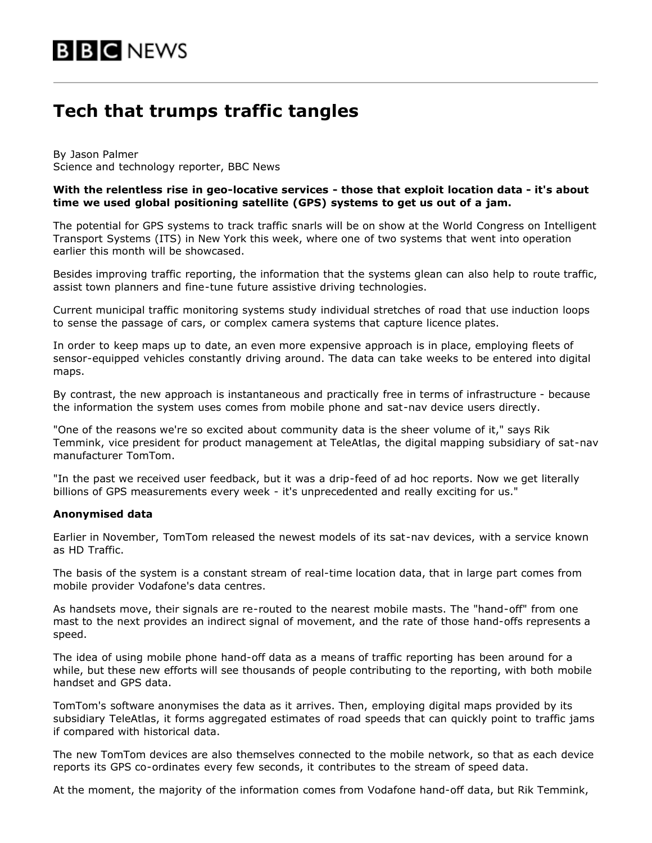# **Tech that trumps traffic tangles**

By Jason Palmer Science and technology reporter, BBC News

## **With the relentless rise in geo-locative services - those that exploit location data - it's about time we used global positioning satellite (GPS) systems to get us out of a jam.**

The potential for GPS systems to track traffic snarls will be on show at the World Congress on Intelligent Transport Systems (ITS) in New York this week, where one of two systems that went into operation earlier this month will be showcased.

Besides improving traffic reporting, the information that the systems glean can also help to route traffic, assist town planners and fine-tune future assistive driving technologies.

Current municipal traffic monitoring systems study individual stretches of road that use induction loops to sense the passage of cars, or complex camera systems that capture licence plates.

In order to keep maps up to date, an even more expensive approach is in place, employing fleets of sensor-equipped vehicles constantly driving around. The data can take weeks to be entered into digital maps.

By contrast, the new approach is instantaneous and practically free in terms of infrastructure - because the information the system uses comes from mobile phone and sat-nav device users directly.

"One of the reasons we're so excited about community data is the sheer volume of it," says Rik Temmink, vice president for product management at TeleAtlas, the digital mapping subsidiary of sat-nav manufacturer TomTom.

"In the past we received user feedback, but it was a drip-feed of ad hoc reports. Now we get literally billions of GPS measurements every week - it's unprecedented and really exciting for us."

#### **Anonymised data**

Earlier in November, TomTom released the newest models of its sat-nav devices, with a service known as HD Traffic.

The basis of the system is a constant stream of real-time location data, that in large part comes from mobile provider Vodafone's data centres.

As handsets move, their signals are re-routed to the nearest mobile masts. The "hand-off" from one mast to the next provides an indirect signal of movement, and the rate of those hand-offs represents a speed.

The idea of using mobile phone hand-off data as a means of traffic reporting has been around for a while, but these new efforts will see thousands of people contributing to the reporting, with both mobile handset and GPS data.

TomTom's software anonymises the data as it arrives. Then, employing digital maps provided by its subsidiary TeleAtlas, it forms aggregated estimates of road speeds that can quickly point to traffic jams if compared with historical data.

The new TomTom devices are also themselves connected to the mobile network, so that as each device reports its GPS co-ordinates every few seconds, it contributes to the stream of speed data.

At the moment, the majority of the information comes from Vodafone hand-off data, but Rik Temmink,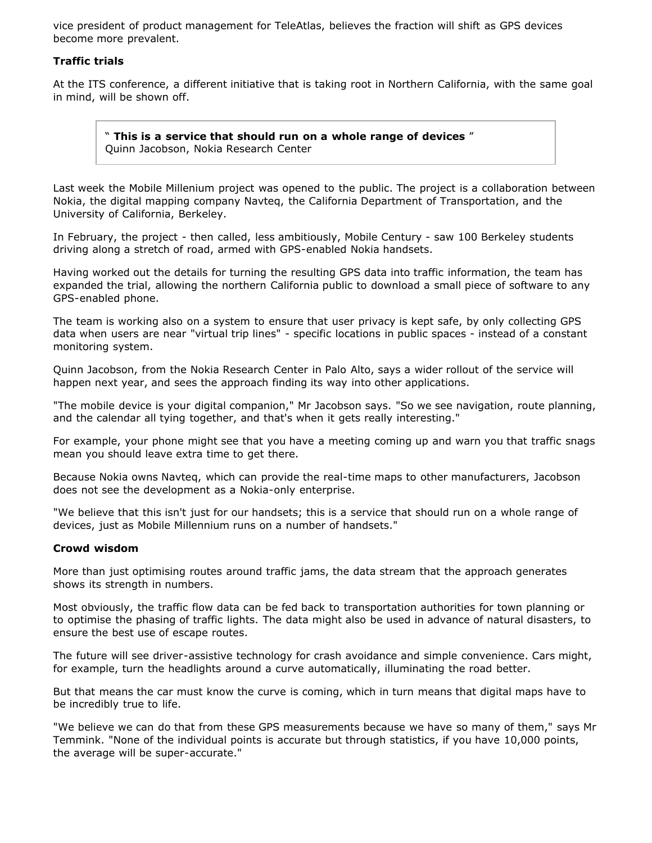vice president of product management for TeleAtlas, believes the fraction will shift as GPS devices become more prevalent.

## **Traffic trials**

At the ITS conference, a different initiative that is taking root in Northern California, with the same goal in mind, will be shown off.

" **This is a service that should run on a whole range of devices** " Quinn Jacobson, Nokia Research Center

Last week the Mobile Millenium project was opened to the public. The project is a collaboration between Nokia, the digital mapping company Navteq, the California Department of Transportation, and the University of California, Berkeley.

In February, the project - then called, less ambitiously, Mobile Century - saw 100 Berkeley students driving along a stretch of road, armed with GPS-enabled Nokia handsets.

Having worked out the details for turning the resulting GPS data into traffic information, the team has expanded the trial, allowing the northern California public to download a small piece of software to any GPS-enabled phone.

The team is working also on a system to ensure that user privacy is kept safe, by only collecting GPS data when users are near "virtual trip lines" - specific locations in public spaces - instead of a constant monitoring system.

Quinn Jacobson, from the Nokia Research Center in Palo Alto, says a wider rollout of the service will happen next year, and sees the approach finding its way into other applications.

"The mobile device is your digital companion," Mr Jacobson says. "So we see navigation, route planning, and the calendar all tying together, and that's when it gets really interesting."

For example, your phone might see that you have a meeting coming up and warn you that traffic snags mean you should leave extra time to get there.

Because Nokia owns Navteq, which can provide the real-time maps to other manufacturers, Jacobson does not see the development as a Nokia-only enterprise.

"We believe that this isn't just for our handsets; this is a service that should run on a whole range of devices, just as Mobile Millennium runs on a number of handsets."

#### **Crowd wisdom**

More than just optimising routes around traffic jams, the data stream that the approach generates shows its strength in numbers.

Most obviously, the traffic flow data can be fed back to transportation authorities for town planning or to optimise the phasing of traffic lights. The data might also be used in advance of natural disasters, to ensure the best use of escape routes.

The future will see driver-assistive technology for crash avoidance and simple convenience. Cars might, for example, turn the headlights around a curve automatically, illuminating the road better.

But that means the car must know the curve is coming, which in turn means that digital maps have to be incredibly true to life.

"We believe we can do that from these GPS measurements because we have so many of them," says Mr Temmink. "None of the individual points is accurate but through statistics, if you have 10,000 points, the average will be super-accurate."